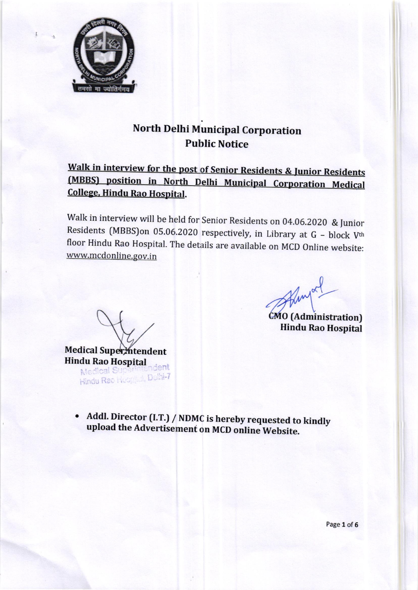

# North Delhi Municipal Corporation Public Notice

## Walk in interview for the post of Senior Residents & Junior Residents (MBBS) position in North Delhi Municipal Corporation Medical College. Hindu Rao Hospital.

Walk in interview will be held for Senior Residents on 04.06.2020 & Junior Residents (MBBS)on 05.06.2020 respectively, in Library at  $G - block V<sup>th</sup>$  floor Hindu Rao Hospital. The details are available on MCD Online website: www.mcdonline.gov.in

Fingal

CMO (Administration) Hindu Rao Hospital

Medical Superintendent **Hindu Rao Hospital** dent Hindu Rac Heophal, Dolhi-7

• Addl. Director (I.T.) / NDMC is hereby requested to kindly upload the Advertisement on MCD online Website.